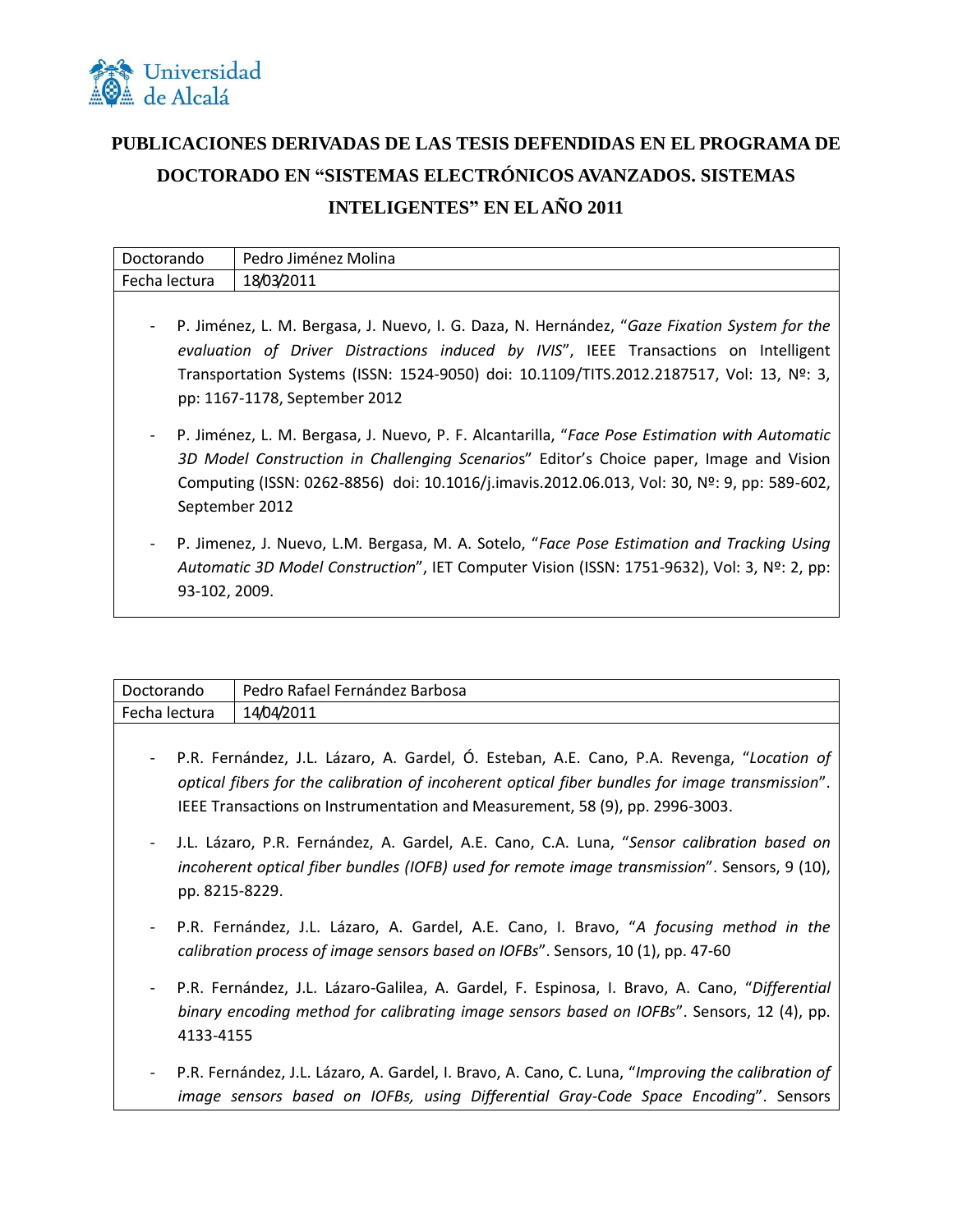

## **PUBLICACIONES DERIVADAS DE LAS TESIS DEFENDIDAS EN EL PROGRAMA DE DOCTORADO EN "SISTEMAS ELECTRÓNICOS AVANZADOS. SISTEMAS INTELIGENTES" EN EL AÑO 2011**

| Doctorando                                                                                                                                                                                                                                                                                                        | Pedro Jiménez Molina                                                                                                                                                                                                                                                                                      |
|-------------------------------------------------------------------------------------------------------------------------------------------------------------------------------------------------------------------------------------------------------------------------------------------------------------------|-----------------------------------------------------------------------------------------------------------------------------------------------------------------------------------------------------------------------------------------------------------------------------------------------------------|
| Fecha lectura                                                                                                                                                                                                                                                                                                     | 18/03/2011                                                                                                                                                                                                                                                                                                |
| P. Jiménez, L. M. Bergasa, J. Nuevo, I. G. Daza, N. Hernández, "Gaze Fixation System for the<br>evaluation of Driver Distractions induced by IVIS", IEEE Transactions on Intelligent<br>Transportation Systems (ISSN: 1524-9050) doi: 10.1109/TITS.2012.2187517, Vol: 13, Nº: 3,<br>pp: 1167-1178, September 2012 |                                                                                                                                                                                                                                                                                                           |
|                                                                                                                                                                                                                                                                                                                   | P. Jiménez, L. M. Bergasa, J. Nuevo, P. F. Alcantarilla, "Face Pose Estimation with Automatic<br>3D Model Construction in Challenging Scenarios" Editor's Choice paper, Image and Vision<br>Computing (ISSN: 0262-8856) doi: 10.1016/j.imavis.2012.06.013, Vol: 30, Nº: 9, pp: 589-602,<br>September 2012 |

- P. Jimenez, J. Nuevo, L.M. Bergasa, M. A. Sotelo, "*Face Pose Estimation and Tracking Using Automatic 3D Model Construction*", IET Computer Vision (ISSN: 1751-9632), Vol: 3, Nº: 2, pp: 93-102, 2009.

| Doctorando    | - Pedro Rafael Fernández Barbosa |
|---------------|----------------------------------|
| Fecha lectura | 14/04/2011                       |
|               |                                  |

- P.R. Fernández, J.L. Lázaro, A. Gardel, Ó. Esteban, A.E. Cano, P.A. Revenga, "*Location of optical fibers for the calibration of incoherent optical fiber bundles for image transmission*". IEEE Transactions on Instrumentation and Measurement, 58 (9), pp. 2996-3003.
- J.L. Lázaro, P.R. Fernández, A. Gardel, A.E. Cano, C.A. Luna, "*Sensor calibration based on incoherent optical fiber bundles (IOFB) used for remote image transmission*". Sensors, 9 (10), pp. 8215-8229.
- P.R. Fernández, J.L. Lázaro, A. Gardel, A.E. Cano, I. Bravo, "*A focusing method in the calibration process of image sensors based on IOFBs*". Sensors, 10 (1), pp. 47-60
- P.R. Fernández, J.L. Lázaro-Galilea, A. Gardel, F. Espinosa, I. Bravo, A. Cano, "*Differential binary encoding method for calibrating image sensors based on IOFBs*". Sensors, 12 (4), pp. 4133-4155
- P.R. Fernández, J.L. Lázaro, A. Gardel, I. Bravo, A. Cano, C. Luna, "*Improving the calibration of image sensors based on IOFBs, using Differential Gray-Code Space Encoding*". Sensors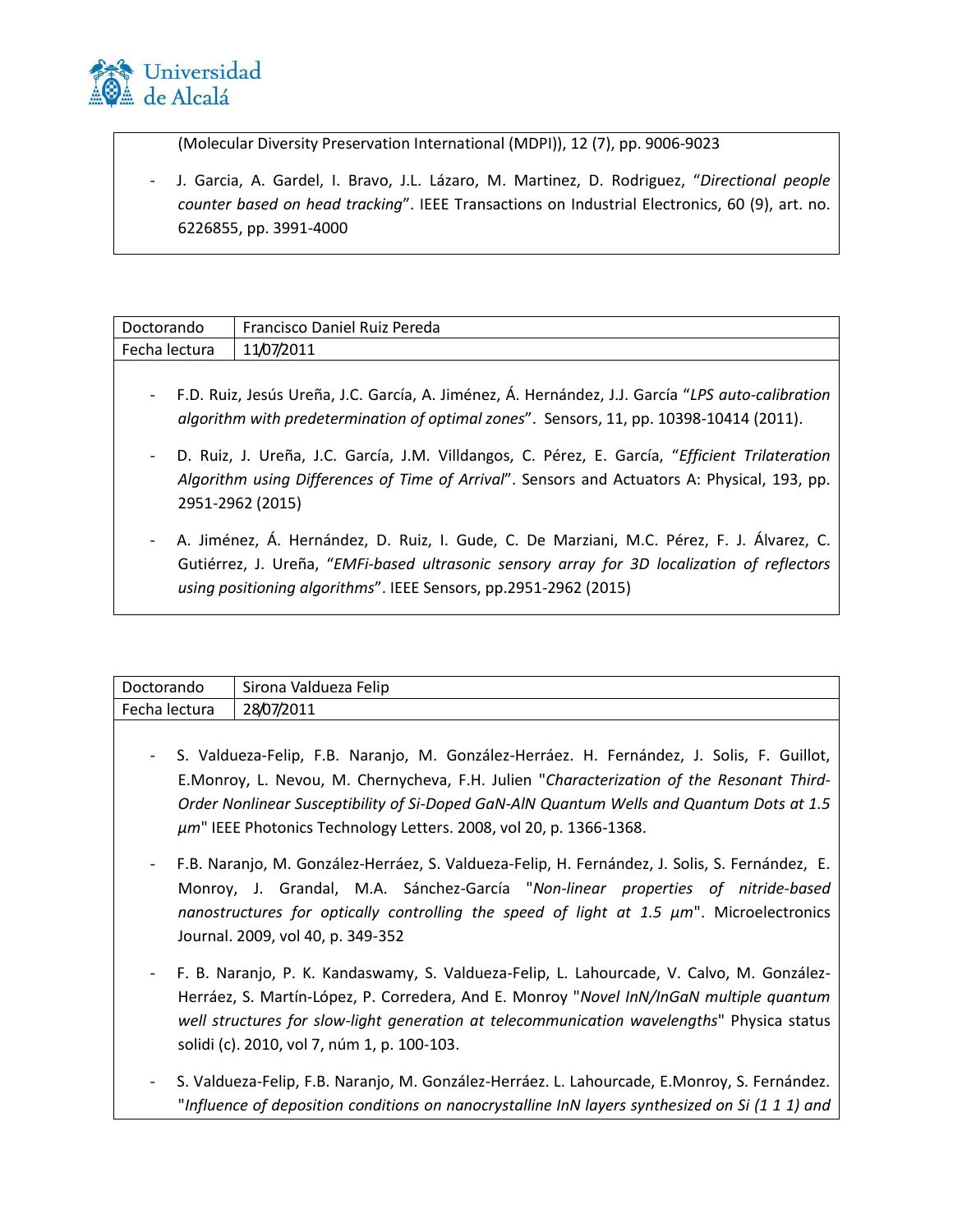

(Molecular Diversity Preservation International (MDPI)), 12 (7), pp. 9006-9023

- J. Garcia, A. Gardel, I. Bravo, J.L. Lázaro, M. Martinez, D. Rodriguez, "*Directional people counter based on head tracking*". IEEE Transactions on Industrial Electronics, 60 (9), art. no. 6226855, pp. 3991-4000

| Doctorando                                                                                                                                                                                  | Francisco Daniel Ruiz Pereda                                                                                                                                                                                                                                 |
|---------------------------------------------------------------------------------------------------------------------------------------------------------------------------------------------|--------------------------------------------------------------------------------------------------------------------------------------------------------------------------------------------------------------------------------------------------------------|
| Fecha lectura                                                                                                                                                                               | 11/07/2011                                                                                                                                                                                                                                                   |
| F.D. Ruiz, Jesús Ureña, J.C. García, A. Jiménez, Á. Hernández, J.J. García "LPS auto-calibration<br>algorithm with predetermination of optimal zones". Sensors, 11, pp. 10398-10414 (2011). |                                                                                                                                                                                                                                                              |
|                                                                                                                                                                                             | D. Ruiz, J. Ureña, J.C. García, J.M. Villdangos, C. Pérez, E. García, "Efficient Trilateration<br>Algorithm using Differences of Time of Arrival". Sensors and Actuators A: Physical, 193, pp.<br>2951-2962 (2015)                                           |
|                                                                                                                                                                                             | A. Jiménez, Á. Hernández, D. Ruiz, I. Gude, C. De Marziani, M.C. Pérez, F. J. Álvarez, C.<br>Gutiérrez, J. Ureña, "EMFi-based ultrasonic sensory array for 3D localization of reflectors<br>using positioning algorithms". IEEE Sensors, pp.2951-2962 (2015) |

| Doctorando    | $\ddot{\phantom{1}}$<br>Valdueza Felip<br>Sirona |
|---------------|--------------------------------------------------|
| Fecha lectura | 28/07/2011                                       |
|               |                                                  |

- S. Valdueza-Felip, F.B. Naranjo, M. González-Herráez. H. Fernández, J. Solis, F. Guillot, E.Monroy, L. Nevou, M. Chernycheva, F.H. Julien "*Characterization of the Resonant Third-Order Nonlinear Susceptibility of Si-Doped GaN-AlN Quantum Wells and Quantum Dots at 1.5 µm*" IEEE Photonics Technology Letters. 2008, vol 20, p. 1366-1368.
- F.B. Naranjo, M. González-Herráez, S. Valdueza-Felip, H. Fernández, J. Solis, S. Fernández, E. Monroy, J. Grandal, M.A. Sánchez-García "*Non-linear properties of nitride-based nanostructures for optically controlling the speed of light at 1.5 µm*". Microelectronics Journal. 2009, vol 40, p. 349-352
- F. B. Naranjo, P. K. Kandaswamy, S. Valdueza-Felip, L. Lahourcade, V. Calvo, M. González-Herráez, S. Martín-López, P. Corredera, And E. Monroy "*Novel InN/InGaN multiple quantum well structures for slow-light generation at telecommunication wavelengths*" Physica status solidi (c). 2010, vol 7, núm 1, p. 100-103.
- S. Valdueza-Felip, F.B. Naranjo, M. González-Herráez. L. Lahourcade, E.Monroy, S. Fernández. "*Influence of deposition conditions on nanocrystalline InN layers synthesized on Si (1 1 1) and*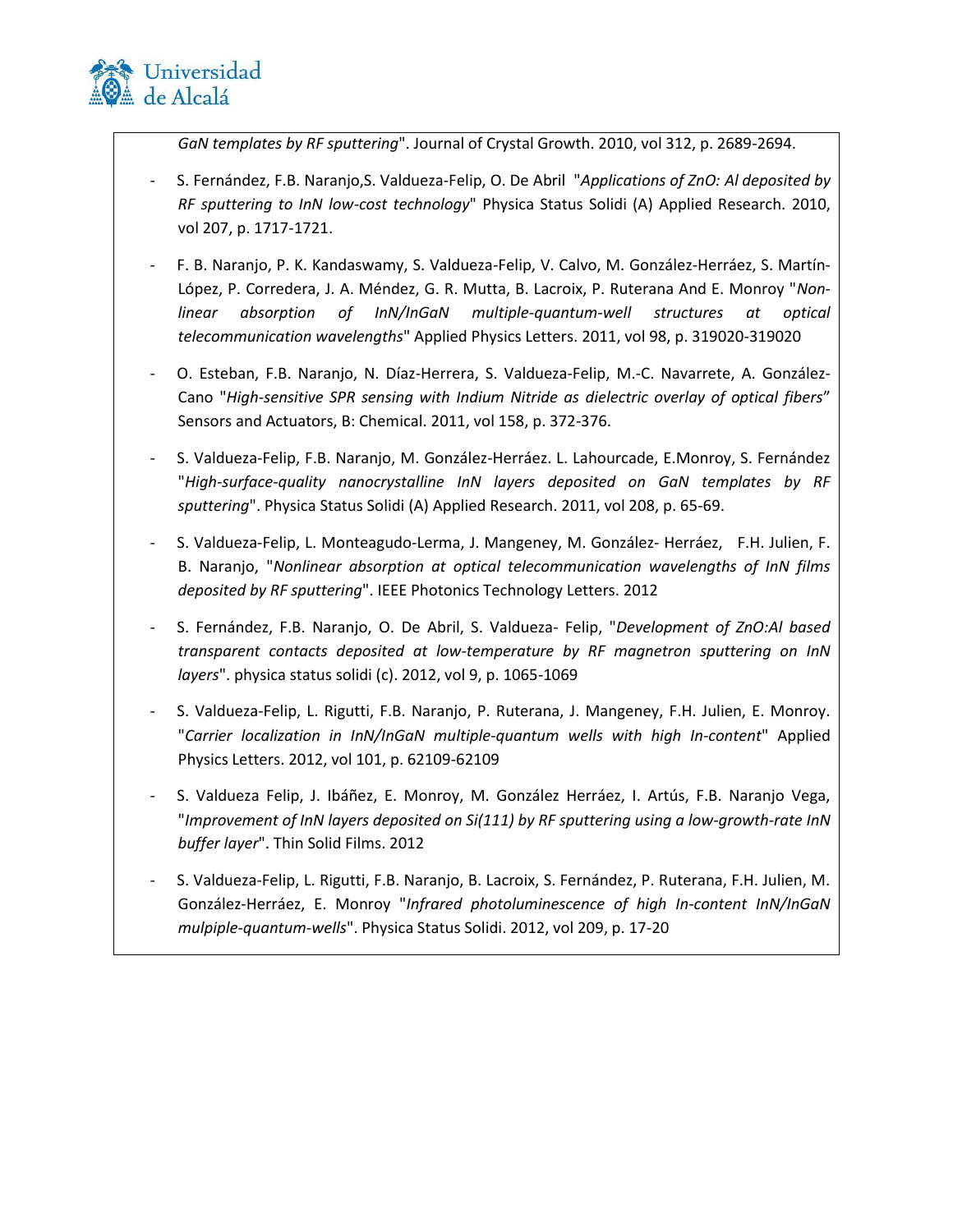

*GaN templates by RF sputtering*". Journal of Crystal Growth. 2010, vol 312, p. 2689-2694.

- S. Fernández, F.B. Naranjo,S. Valdueza-Felip, O. De Abril "*Applications of ZnO: Al deposited by RF sputtering to InN low-cost technology*" Physica Status Solidi (A) Applied Research. 2010, vol 207, p. 1717-1721.
- F. B. Naranjo, P. K. Kandaswamy, S. Valdueza-Felip, V. Calvo, M. González-Herráez, S. Martín-López, P. Corredera, J. A. Méndez, G. R. Mutta, B. Lacroix, P. Ruterana And E. Monroy "*Nonlinear absorption of InN/InGaN multiple-quantum-well structures at optical telecommunication wavelengths*" Applied Physics Letters. 2011, vol 98, p. 319020-319020
- O. Esteban, F.B. Naranjo, N. Díaz-Herrera, S. Valdueza-Felip, M.-C. Navarrete, A. González-Cano "*High-sensitive SPR sensing with Indium Nitride as dielectric overlay of optical fibers*" Sensors and Actuators, B: Chemical. 2011, vol 158, p. 372-376.
- S. Valdueza-Felip, F.B. Naranjo, M. González-Herráez. L. Lahourcade, E.Monroy, S. Fernández "*High-surface-quality nanocrystalline InN layers deposited on GaN templates by RF sputtering*". Physica Status Solidi (A) Applied Research. 2011, vol 208, p. 65-69.
- S. Valdueza-Felip, L. Monteagudo‐Lerma, J. Mangeney, M. González- Herráez, F.H. Julien, F. B. Naranjo, "*Nonlinear absorption at optical telecommunication wavelengths of InN films deposited by RF sputtering*". IEEE Photonics Technology Letters. 2012
- S. Fernández, F.B. Naranjo, O. De Abril, S. Valdueza- Felip, "*Development of ZnO:Al based transparent contacts deposited at low-temperature by RF magnetron sputtering on InN layers*". physica status solidi (c). 2012, vol 9, p. 1065-1069
- S. Valdueza-Felip, L. Rigutti, F.B. Naranjo, P. Ruterana, J. Mangeney, F.H. Julien, E. Monroy. "*Carrier localization in InN/InGaN multiple-quantum wells with high In-content*" Applied Physics Letters. 2012, vol 101, p. 62109-62109
- S. Valdueza Felip, J. Ibáñez, E. Monroy, M. González Herráez, I. Artús, F.B. Naranjo Vega, "*Improvement of InN layers deposited on Si(111) by RF sputtering using a low-growth-rate InN buffer layer*". Thin Solid Films. 2012
- S. Valdueza-Felip, L. Rigutti, F.B. Naranjo, B. Lacroix, S. Fernández, P. Ruterana, F.H. Julien, M. González-Herráez, E. Monroy "*Infrared photoluminescence of high In-content InN/InGaN mulpiple-quantum-wells*". Physica Status Solidi. 2012, vol 209, p. 17-20